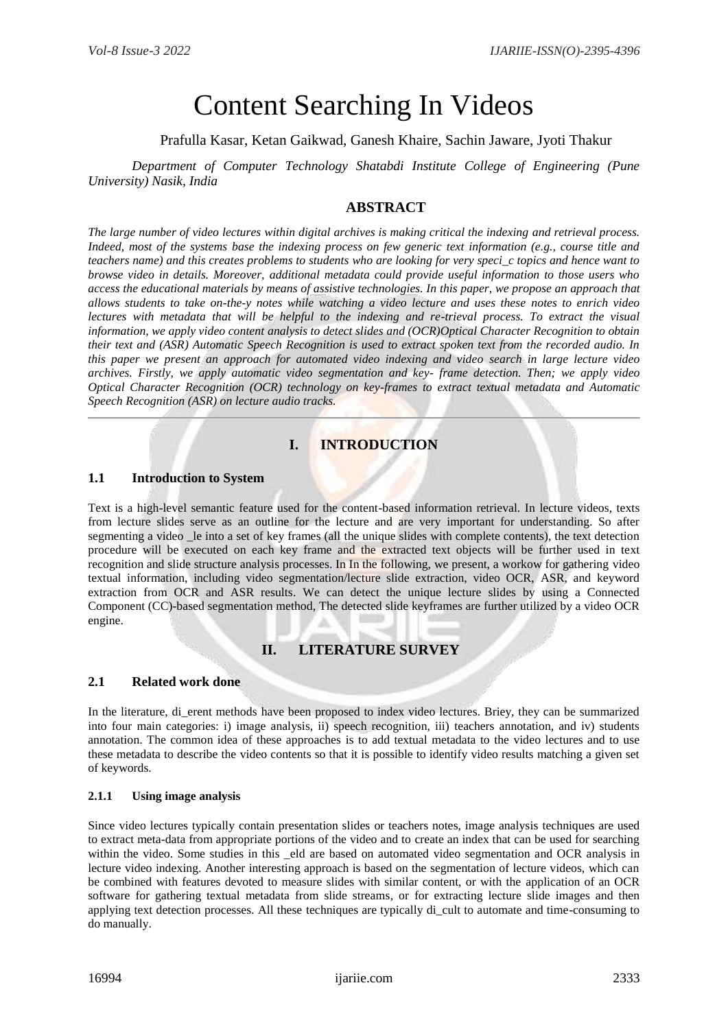# Content Searching In Videos

Prafulla Kasar, Ketan Gaikwad, Ganesh Khaire, Sachin Jaware, Jyoti Thakur

*Department of Computer Technology Shatabdi Institute College of Engineering (Pune University) Nasik, India*

## **ABSTRACT**

*The large number of video lectures within digital archives is making critical the indexing and retrieval process. Indeed, most of the systems base the indexing process on few generic text information (e.g., course title and teachers name) and this creates problems to students who are looking for very speci\_c topics and hence want to browse video in details. Moreover, additional metadata could provide useful information to those users who access the educational materials by means of assistive technologies. In this paper, we propose an approach that allows students to take on-the-y notes while watching a video lecture and uses these notes to enrich video lectures with metadata that will be helpful to the indexing and re-trieval process. To extract the visual information, we apply video content analysis to detect slides and (OCR)Optical Character Recognition to obtain their text and (ASR) Automatic Speech Recognition is used to extract spoken text from the recorded audio. In this paper we present an approach for automated video indexing and video search in large lecture video archives. Firstly, we apply automatic video segmentation and key- frame detection. Then; we apply video Optical Character Recognition (OCR) technology on key-frames to extract textual metadata and Automatic Speech Recognition (ASR) on lecture audio tracks.*

# **I. INTRODUCTION**

#### **1.1 Introduction to System**

Text is a high-level semantic feature used for the content-based information retrieval. In lecture videos, texts from lecture slides serve as an outline for the lecture and are very important for understanding. So after segmenting a video le into a set of key frames (all the unique slides with complete contents), the text detection procedure will be executed on each key frame and the extracted text objects will be further used in text recognition and slide structure analysis processes. In In the following, we present, a workow for gathering video textual information, including video segmentation/lecture slide extraction, video OCR, ASR, and keyword extraction from OCR and ASR results. We can detect the unique lecture slides by using a Connected Component (CC)-based segmentation method, The detected slide keyframes are further utilized by a video OCR engine.

## **II. LITERATURE SURVEY**

#### **2.1 Related work done**

In the literature, di\_erent methods have been proposed to index video lectures. Briey, they can be summarized into four main categories: i) image analysis, ii) speech recognition, iii) teachers annotation, and iv) students annotation. The common idea of these approaches is to add textual metadata to the video lectures and to use these metadata to describe the video contents so that it is possible to identify video results matching a given set of keywords.

#### **2.1.1 Using image analysis**

Since video lectures typically contain presentation slides or teachers notes, image analysis techniques are used to extract meta-data from appropriate portions of the video and to create an index that can be used for searching within the video. Some studies in this eld are based on automated video segmentation and OCR analysis in lecture video indexing. Another interesting approach is based on the segmentation of lecture videos, which can be combined with features devoted to measure slides with similar content, or with the application of an OCR software for gathering textual metadata from slide streams, or for extracting lecture slide images and then applying text detection processes. All these techniques are typically di\_cult to automate and time-consuming to do manually.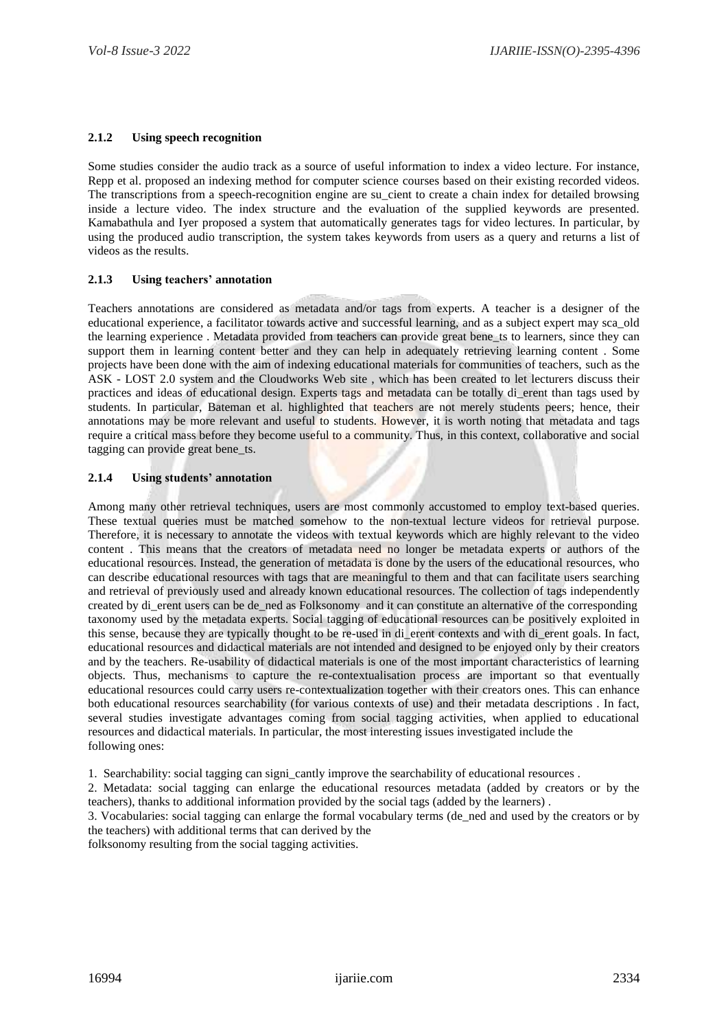#### **2.1.2 Using speech recognition**

Some studies consider the audio track as a source of useful information to index a video lecture. For instance, Repp et al. proposed an indexing method for computer science courses based on their existing recorded videos. The transcriptions from a speech-recognition engine are su\_cient to create a chain index for detailed browsing inside a lecture video. The index structure and the evaluation of the supplied keywords are presented. Kamabathula and Iyer proposed a system that automatically generates tags for video lectures. In particular, by using the produced audio transcription, the system takes keywords from users as a query and returns a list of videos as the results.

#### **2.1.3 Using teachers' annotation**

Teachers annotations are considered as metadata and/or tags from experts. A teacher is a designer of the educational experience, a facilitator towards active and successful learning, and as a subject expert may sca\_old the learning experience . Metadata provided from teachers can provide great bene\_ts to learners, since they can support them in learning content better and they can help in adequately retrieving learning content . Some projects have been done with the aim of indexing educational materials for communities of teachers, such as the ASK - LOST 2.0 system and the Cloudworks Web site , which has been created to let lecturers discuss their practices and ideas of educational design. Experts tags and metadata can be totally di\_erent than tags used by students. In particular, Bateman et al. highlighted that teachers are not merely students peers; hence, their annotations may be more relevant and useful to students. However, it is worth noting that metadata and tags require a critical mass before they become useful to a community. Thus, in this context, collaborative and social tagging can provide great bene\_ts.

#### **2.1.4 Using students' annotation**

Among many other retrieval techniques, users are most commonly accustomed to employ text-based queries. These textual queries must be matched somehow to the non-textual lecture videos for retrieval purpose. Therefore, it is necessary to annotate the videos with textual keywords which are highly relevant to the video content . This means that the creators of metadata need no longer be metadata experts or authors of the educational resources. Instead, the generation of metadata is done by the users of the educational resources, who can describe educational resources with tags that are meaningful to them and that can facilitate users searching and retrieval of previously used and already known educational resources. The collection of tags independently created by di\_erent users can be de\_ned as Folksonomy and it can constitute an alternative of the corresponding taxonomy used by the metadata experts. Social tagging of educational resources can be positively exploited in this sense, because they are typically thought to be re-used in di\_erent contexts and with di\_erent goals. In fact, educational resources and didactical materials are not intended and designed to be enjoyed only by their creators and by the teachers. Re-usability of didactical materials is one of the most important characteristics of learning objects. Thus, mechanisms to capture the re-contextualisation process are important so that eventually educational resources could carry users re-contextualization together with their creators ones. This can enhance both educational resources searchability (for various contexts of use) and their metadata descriptions . In fact, several studies investigate advantages coming from social tagging activities, when applied to educational resources and didactical materials. In particular, the most interesting issues investigated include the following ones:

1. Searchability: social tagging can signi\_cantly improve the searchability of educational resources .

2. Metadata: social tagging can enlarge the educational resources metadata (added by creators or by the teachers), thanks to additional information provided by the social tags (added by the learners) .

3. Vocabularies: social tagging can enlarge the formal vocabulary terms (de\_ned and used by the creators or by the teachers) with additional terms that can derived by the

folksonomy resulting from the social tagging activities.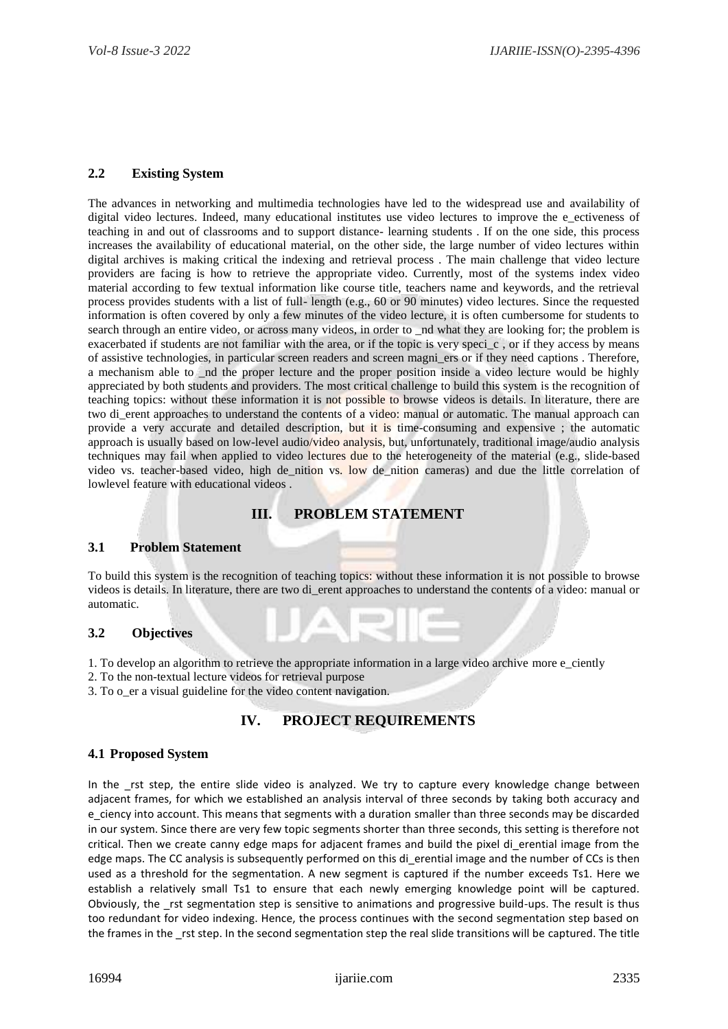#### **2.2 Existing System**

The advances in networking and multimedia technologies have led to the widespread use and availability of digital video lectures. Indeed, many educational institutes use video lectures to improve the e\_ectiveness of teaching in and out of classrooms and to support distance- learning students . If on the one side, this process increases the availability of educational material, on the other side, the large number of video lectures within digital archives is making critical the indexing and retrieval process . The main challenge that video lecture providers are facing is how to retrieve the appropriate video. Currently, most of the systems index video material according to few textual information like course title, teachers name and keywords, and the retrieval process provides students with a list of full- length (e.g., 60 or 90 minutes) video lectures. Since the requested information is often covered by only a few minutes of the video lecture, it is often cumbersome for students to search through an entire video, or across many videos, in order to \_nd what they are looking for; the problem is exacerbated if students are not familiar with the area, or if the topic is very speci\_c , or if they access by means of assistive technologies, in particular screen readers and screen magni\_ers or if they need captions . Therefore, a mechanism able to  $\alpha$  nd the proper lecture and the proper position inside a video lecture would be highly appreciated by both students and providers. The most critical challenge to build this system is the recognition of teaching topics: without these information it is not possible to browse videos is details. In literature, there are two di\_erent approaches to understand the contents of a video: manual or automatic. The manual approach can provide a very accurate and detailed description, but it is time-consuming and expensive ; the automatic approach is usually based on low-level audio/video analysis, but, unfortunately, traditional image/audio analysis techniques may fail when applied to video lectures due to the heterogeneity of the material (e.g., slide-based video vs. teacher-based video, high de\_nition vs. low de\_nition cameras) and due the little correlation of lowlevel feature with educational videos .

## **III. PROBLEM STATEMENT**

#### **3.1 Problem Statement**

To build this system is the recognition of teaching topics: without these information it is not possible to browse videos is details. In literature, there are two di\_erent approaches to understand the contents of a video: manual or automatic.

#### **3.2 Objectives**

- 1. To develop an algorithm to retrieve the appropriate information in a large video archive more e\_ciently
- 2. To the non-textual lecture videos for retrieval purpose
- 3. To o\_er a visual guideline for the video content navigation.

## **IV. PROJECT REQUIREMENTS**

#### **4.1 Proposed System**

In the rst step, the entire slide video is analyzed. We try to capture every knowledge change between adjacent frames, for which we established an analysis interval of three seconds by taking both accuracy and e\_ciency into account. This means that segments with a duration smaller than three seconds may be discarded in our system. Since there are very few topic segments shorter than three seconds, this setting is therefore not critical. Then we create canny edge maps for adjacent frames and build the pixel di\_erential image from the edge maps. The CC analysis is subsequently performed on this di erential image and the number of CCs is then used as a threshold for the segmentation. A new segment is captured if the number exceeds Ts1. Here we establish a relatively small Ts1 to ensure that each newly emerging knowledge point will be captured. Obviously, the rst segmentation step is sensitive to animations and progressive build-ups. The result is thus too redundant for video indexing. Hence, the process continues with the second segmentation step based on the frames in the rst step. In the second segmentation step the real slide transitions will be captured. The title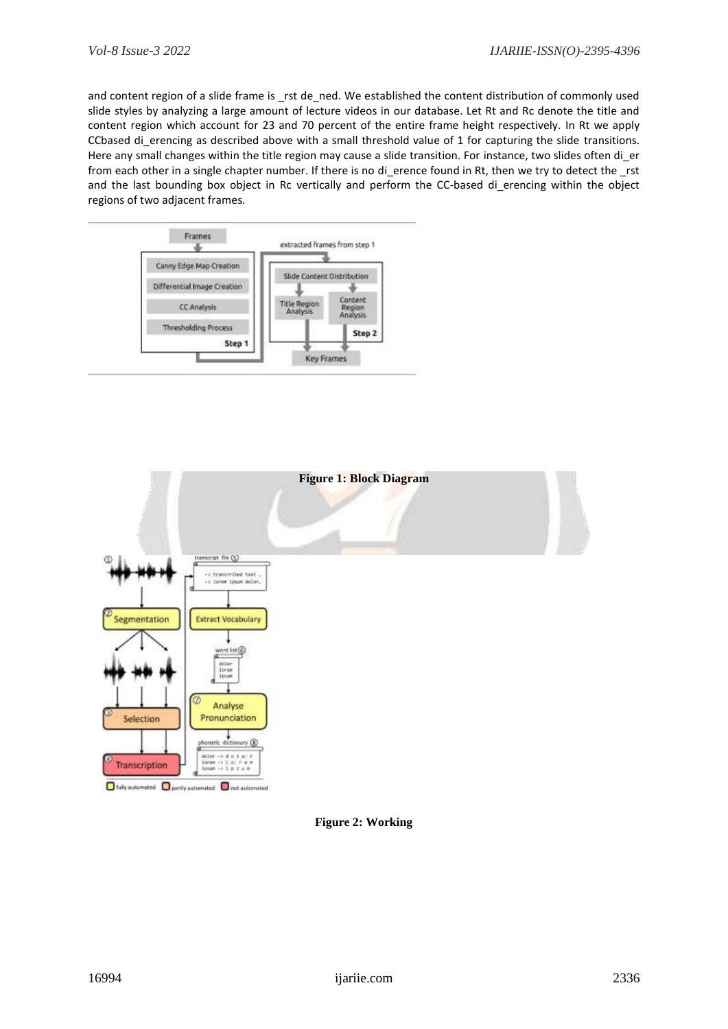and content region of a slide frame is \_rst de\_ned. We established the content distribution of commonly used slide styles by analyzing a large amount of lecture videos in our database. Let Rt and Rc denote the title and content region which account for 23 and 70 percent of the entire frame height respectively. In Rt we apply CCbased di\_erencing as described above with a small threshold value of 1 for capturing the slide transitions. Here any small changes within the title region may cause a slide transition. For instance, two slides often di er from each other in a single chapter number. If there is no di erence found in Rt, then we try to detect the rst and the last bounding box object in Rc vertically and perform the CC-based di erencing within the object regions of two adjacent frames.





**Figure 2: Working**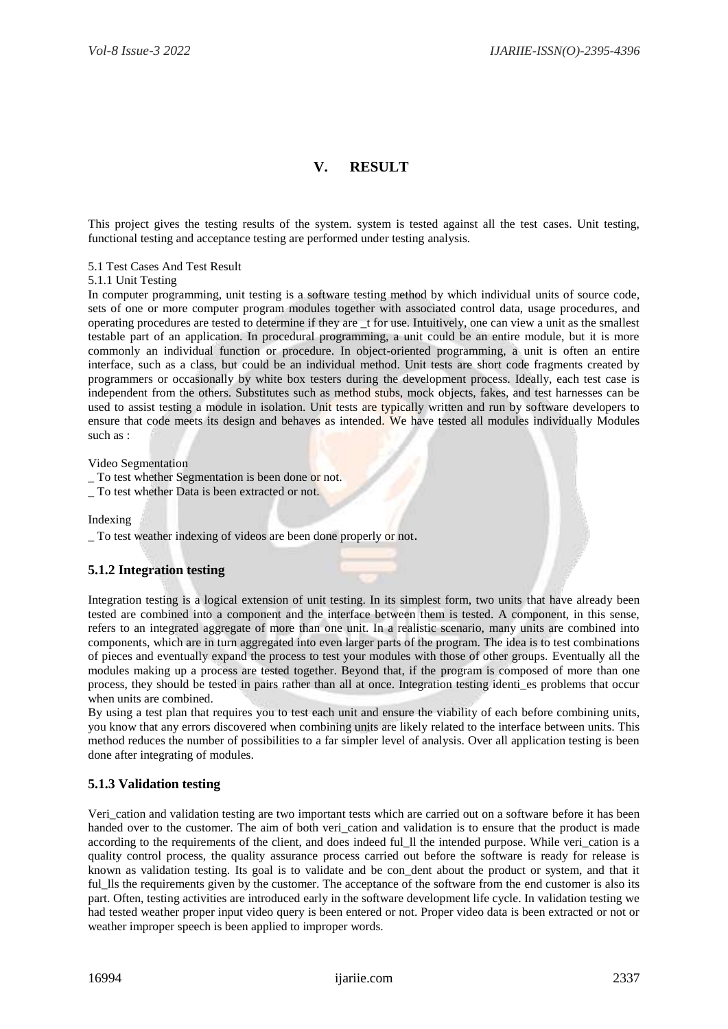# **V. RESULT**

This project gives the testing results of the system. system is tested against all the test cases. Unit testing, functional testing and acceptance testing are performed under testing analysis.

5.1 Test Cases And Test Result

5.1.1 Unit Testing

In computer programming, unit testing is a software testing method by which individual units of source code, sets of one or more computer program modules together with associated control data, usage procedures, and operating procedures are tested to determine if they are \_t for use. Intuitively, one can view a unit as the smallest testable part of an application. In procedural programming, a unit could be an entire module, but it is more commonly an individual function or procedure. In object-oriented programming, a unit is often an entire interface, such as a class, but could be an individual method. Unit tests are short code fragments created by programmers or occasionally by white box testers during the development process. Ideally, each test case is independent from the others. Substitutes such as method stubs, mock objects, fakes, and test harnesses can be used to assist testing a module in isolation. Unit tests are typically written and run by software developers to ensure that code meets its design and behaves as intended. We have tested all modules individually Modules such as :

Video Segmentation

To test whether Segmentation is been done or not.

To test whether Data is been extracted or not.

Indexing

\_ To test weather indexing of videos are been done properly or not.

#### **5.1.2 Integration testing**

Integration testing is a logical extension of unit testing. In its simplest form, two units that have already been tested are combined into a component and the interface between them is tested. A component, in this sense, refers to an integrated aggregate of more than one unit. In a realistic scenario, many units are combined into components, which are in turn aggregated into even larger parts of the program. The idea is to test combinations of pieces and eventually expand the process to test your modules with those of other groups. Eventually all the modules making up a process are tested together. Beyond that, if the program is composed of more than one process, they should be tested in pairs rather than all at once. Integration testing identi\_es problems that occur when units are combined.

By using a test plan that requires you to test each unit and ensure the viability of each before combining units, you know that any errors discovered when combining units are likely related to the interface between units. This method reduces the number of possibilities to a far simpler level of analysis. Over all application testing is been done after integrating of modules.

#### **5.1.3 Validation testing**

Veri\_cation and validation testing are two important tests which are carried out on a software before it has been handed over to the customer. The aim of both veri\_cation and validation is to ensure that the product is made according to the requirements of the client, and does indeed ful\_ll the intended purpose. While veri cation is a quality control process, the quality assurance process carried out before the software is ready for release is known as validation testing. Its goal is to validate and be con\_dent about the product or system, and that it ful lls the requirements given by the customer. The acceptance of the software from the end customer is also its part. Often, testing activities are introduced early in the software development life cycle. In validation testing we had tested weather proper input video query is been entered or not. Proper video data is been extracted or not or weather improper speech is been applied to improper words.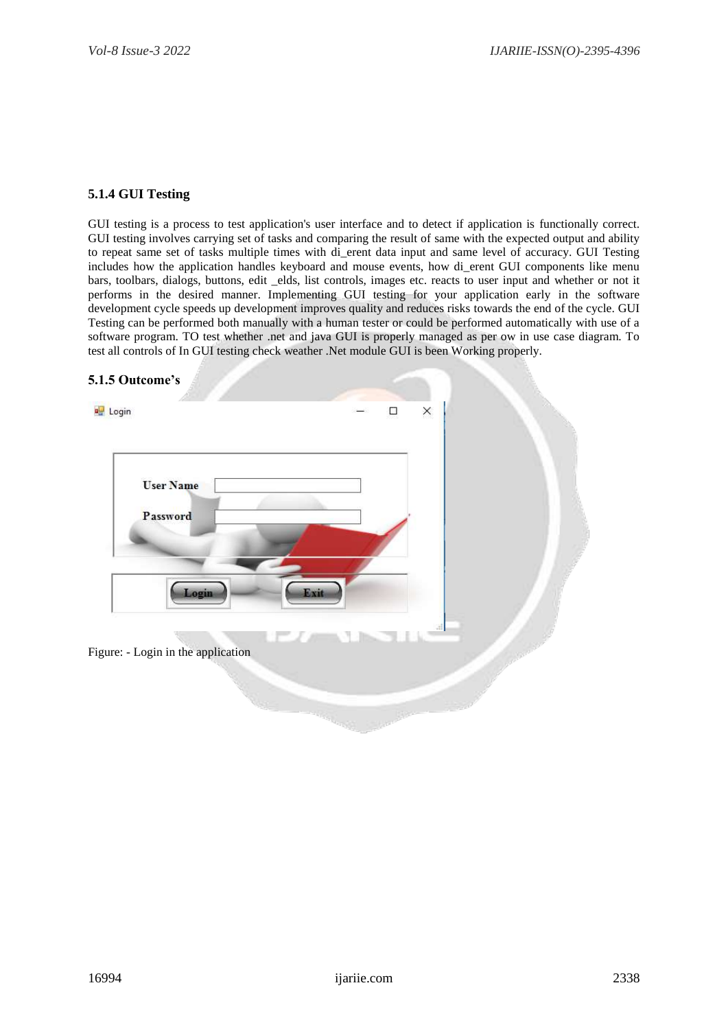## **5.1.4 GUI Testing**

GUI testing is a process to test application's user interface and to detect if application is functionally correct. GUI testing involves carrying set of tasks and comparing the result of same with the expected output and ability to repeat same set of tasks multiple times with di\_erent data input and same level of accuracy. GUI Testing includes how the application handles keyboard and mouse events, how di\_erent GUI components like menu bars, toolbars, dialogs, buttons, edit \_elds, list controls, images etc. reacts to user input and whether or not it performs in the desired manner. Implementing GUI testing for your application early in the software development cycle speeds up development improves quality and reduces risks towards the end of the cycle. GUI Testing can be performed both manually with a human tester or could be performed automatically with use of a software program. TO test whether .net and java GUI is properly managed as per ow in use case diagram. To test all controls of In GUI testing check weather .Net module GUI is been Working properly.

#### **5.1.5 Outcome's**

| <b>DE</b> Login                    | X<br>$\Box$ |  |
|------------------------------------|-------------|--|
| <b>User Name</b>                   |             |  |
| Password                           |             |  |
| Login                              | Exit        |  |
|                                    |             |  |
| Figure: - Login in the application |             |  |
|                                    |             |  |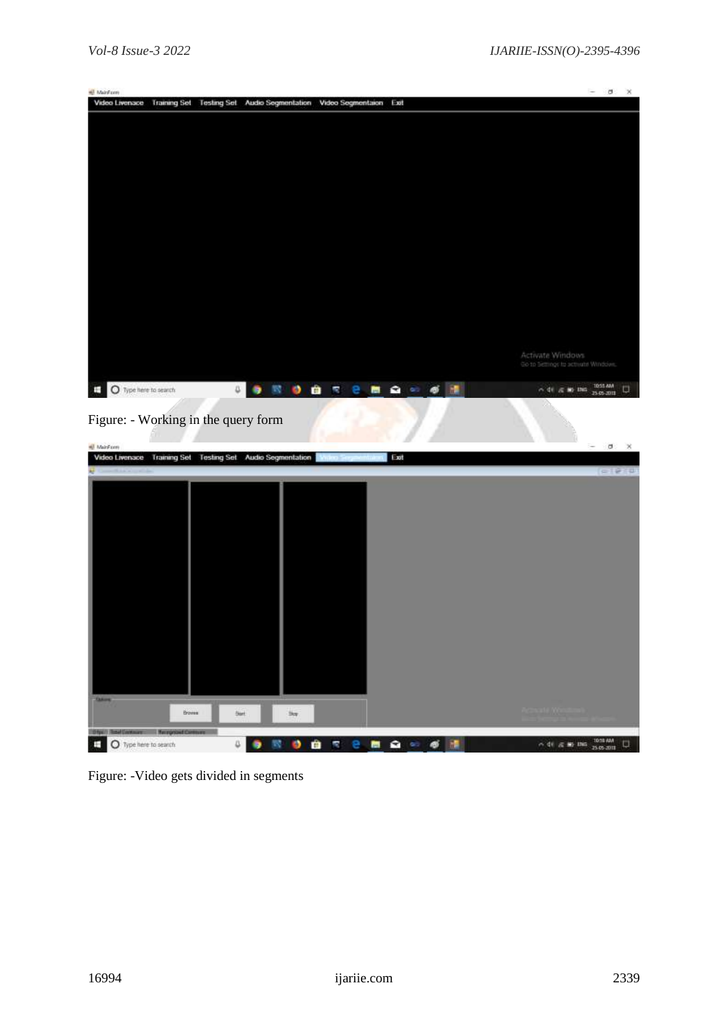| <b>All</b> MainForm                 |                     |               |                                                  |                        |                 |                                                         | $-100$<br>$\mathbb{X}$<br>$\sim$ |
|-------------------------------------|---------------------|---------------|--------------------------------------------------|------------------------|-----------------|---------------------------------------------------------|----------------------------------|
| Video Livenace                      | <b>Training Set</b> |               | Testing Set Audio Segmentation Video Segmentaion |                        | Exit            |                                                         |                                  |
|                                     |                     |               |                                                  |                        |                 |                                                         |                                  |
|                                     |                     |               |                                                  |                        |                 |                                                         |                                  |
|                                     |                     |               |                                                  |                        |                 |                                                         |                                  |
|                                     |                     |               |                                                  |                        |                 |                                                         |                                  |
|                                     |                     |               |                                                  |                        |                 |                                                         |                                  |
|                                     |                     |               |                                                  |                        |                 |                                                         |                                  |
|                                     |                     |               |                                                  |                        |                 |                                                         |                                  |
|                                     |                     |               |                                                  |                        |                 |                                                         |                                  |
|                                     |                     |               |                                                  |                        |                 |                                                         |                                  |
|                                     |                     |               |                                                  |                        |                 |                                                         |                                  |
|                                     |                     |               |                                                  |                        |                 |                                                         |                                  |
|                                     |                     |               |                                                  |                        |                 |                                                         |                                  |
|                                     |                     |               |                                                  |                        |                 |                                                         |                                  |
|                                     |                     |               |                                                  |                        |                 |                                                         |                                  |
|                                     |                     |               |                                                  |                        |                 |                                                         |                                  |
|                                     |                     |               |                                                  |                        |                 | Activate Windows<br>Go to Settings to activate Windows. |                                  |
|                                     |                     |               |                                                  |                        |                 |                                                         |                                  |
| ш<br>O Type here to search          |                     | $\mathbbm{S}$ |                                                  | $0$ $0$ $7$<br>e.<br>商 | <b>R</b><br>$-$ | $\sim$ di $\approx$ m ms                                | 1015 AM<br>$\Box$                |
|                                     |                     |               |                                                  |                        |                 |                                                         |                                  |
| Figure: - Working in the query form |                     |               |                                                  |                        |                 |                                                         |                                  |
|                                     |                     |               |                                                  |                        |                 |                                                         |                                  |

| All MainForm                                                         |        |              |                                             |                      |      | n e<br>$ 0$ $\times$             |
|----------------------------------------------------------------------|--------|--------------|---------------------------------------------|----------------------|------|----------------------------------|
| Video Livenace                                                       |        |              | Training Set Testing Set Audio Segmentation | Writer: Sergentrials | Exit |                                  |
| <b>Manufacturer</b>                                                  |        |              |                                             |                      |      | $= 12.14$                        |
|                                                                      |        |              |                                             |                      |      |                                  |
|                                                                      |        |              |                                             |                      |      |                                  |
|                                                                      |        |              |                                             |                      |      |                                  |
|                                                                      |        |              |                                             |                      |      |                                  |
|                                                                      |        |              |                                             |                      |      |                                  |
|                                                                      |        |              |                                             |                      |      |                                  |
|                                                                      |        |              |                                             |                      |      |                                  |
|                                                                      |        |              |                                             |                      |      |                                  |
|                                                                      |        |              |                                             |                      |      |                                  |
|                                                                      |        |              |                                             |                      |      |                                  |
|                                                                      |        |              |                                             |                      |      |                                  |
|                                                                      |        |              |                                             |                      |      |                                  |
|                                                                      |        |              |                                             |                      |      |                                  |
|                                                                      |        |              |                                             |                      |      |                                  |
|                                                                      |        |              |                                             |                      |      |                                  |
|                                                                      |        |              |                                             |                      |      |                                  |
|                                                                      |        |              |                                             |                      |      |                                  |
| <b>Taking</b>                                                        |        |              |                                             |                      |      |                                  |
|                                                                      | Browse | <b>Start</b> | $\frac{1}{2} \log T$                        |                      |      |                                  |
|                                                                      |        |              |                                             |                      |      |                                  |
| <b>Dipil Real Entraint: Respond Company</b><br>O Type here to search |        | a            | o<br>m                                      | ř,<br>e              | 画    | 1010 AM<br>$\Box$<br>< df < m mm |
| т                                                                    |        |              |                                             |                      |      |                                  |

Figure: -Video gets divided in segments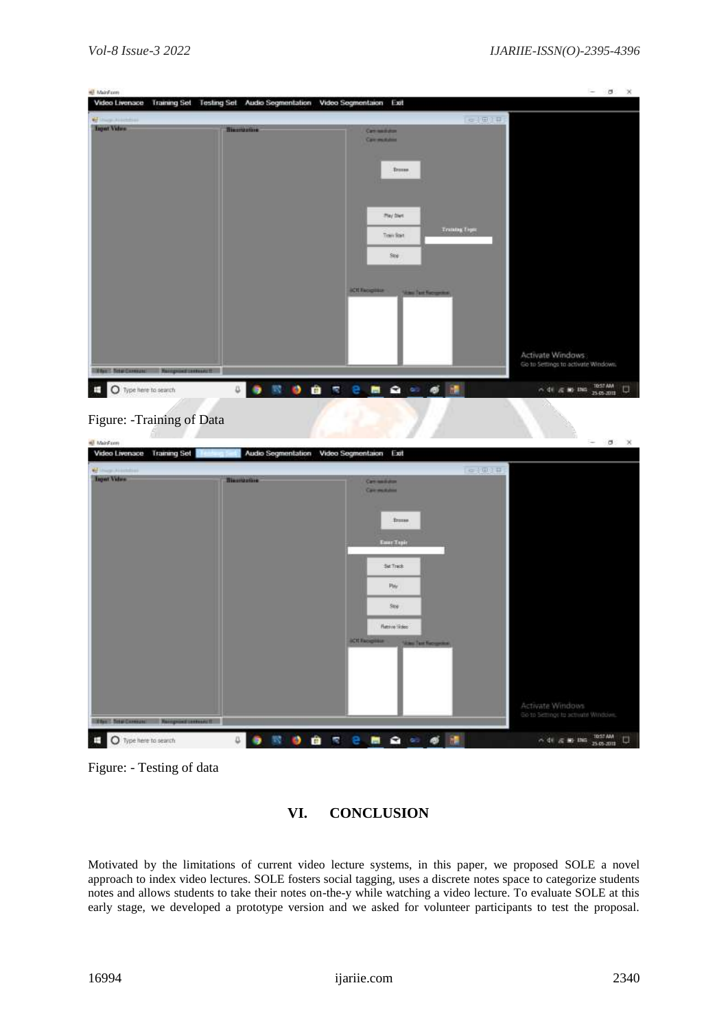| <b>All MainForm</b><br>Video Livenace                 | Training Set Testing Set Audio Segmentation Video Segmentaion Exit |                                              | $ 0$ $\times$                                 |
|-------------------------------------------------------|--------------------------------------------------------------------|----------------------------------------------|-----------------------------------------------|
| Characteristic                                        |                                                                    |                                              | 日本小田介井                                        |
| <b>Input Vidux</b>                                    | <b>Hisamazone</b>                                                  | Carriessiston<br>Calcimations                |                                               |
|                                                       |                                                                    | <b>Trusse</b>                                |                                               |
|                                                       |                                                                    | they blue.                                   |                                               |
|                                                       |                                                                    | <b>Trusteg Tiger</b><br>Tren Stat<br>Sov     |                                               |
|                                                       |                                                                    | <b><i><u>ACTI Recipitate</u></i></b>         |                                               |
|                                                       |                                                                    | <b>Victor Text Factor</b>                    |                                               |
|                                                       |                                                                    |                                              | Activate Windows:                             |
| <b>The Chiefsmann</b>                                 | Paingword instead if                                               |                                              | Go to Settings to activate Windows.           |
| E<br>O Type here to search                            | 徽<br>$\Box$<br>$\bullet$<br>۰                                      | $\Omega = 6$<br>÷<br>P.<br>е.<br>断           | 10:57 AM<br>O<br>へ 中 元 第 四5<br>25.05-2011     |
| Figure: - Training of Data                            |                                                                    |                                              |                                               |
| All MainForm<br><b>Training Set</b><br>Video Livenace |                                                                    | Audio Segmentation Video Segmentaion<br>Exit | $\sigma$ $\times$<br>$\overline{\phantom{a}}$ |
| Characteristic                                        |                                                                    |                                              | 日本語の目                                         |
| <b>Tagert Vidure</b>                                  | <b>Bisanization</b>                                                | Carriessiston<br>Carmelales                  |                                               |
|                                                       |                                                                    |                                              |                                               |

| $\sim$<br><b>Report Viduce</b>                     | <b>Bisanization</b>                                                                        | Carriestown<br>Committee                                                               |                                            |
|----------------------------------------------------|--------------------------------------------------------------------------------------------|----------------------------------------------------------------------------------------|--------------------------------------------|
|                                                    |                                                                                            | <b>Trusse</b><br><b>Tour Tapic</b>                                                     |                                            |
|                                                    |                                                                                            | <b>Service</b><br>$\frac{p_{\rm Hp}}{p_{\rm c}}$                                       |                                            |
|                                                    |                                                                                            | Sov<br><b>Hattive Sides</b><br><b>ACTI Recipitate</b><br><b>Video Tale Recognition</b> |                                            |
|                                                    |                                                                                            |                                                                                        | Activate Windows                           |
| <b>UNITED STATES CARDINALS</b><br>Paingworthannant |                                                                                            |                                                                                        | Go to Settings to activate Windows.        |
| O Type here to search<br>÷                         | $^{\circ}$ $^{\circ}$<br>$\begin{array}{c} \downarrow \\ \downarrow \end{array}$<br>۰<br>鹭 | ■●◎●圖<br><b>de</b><br>×.                                                               | 10:57 AM<br>25.05-2011<br>U<br>< 中 高 第 116 |

Figure: - Testing of data

# **VI. CONCLUSION**

Motivated by the limitations of current video lecture systems, in this paper, we proposed SOLE a novel approach to index video lectures. SOLE fosters social tagging, uses a discrete notes space to categorize students notes and allows students to take their notes on-the-y while watching a video lecture. To evaluate SOLE at this early stage, we developed a prototype version and we asked for volunteer participants to test the proposal.